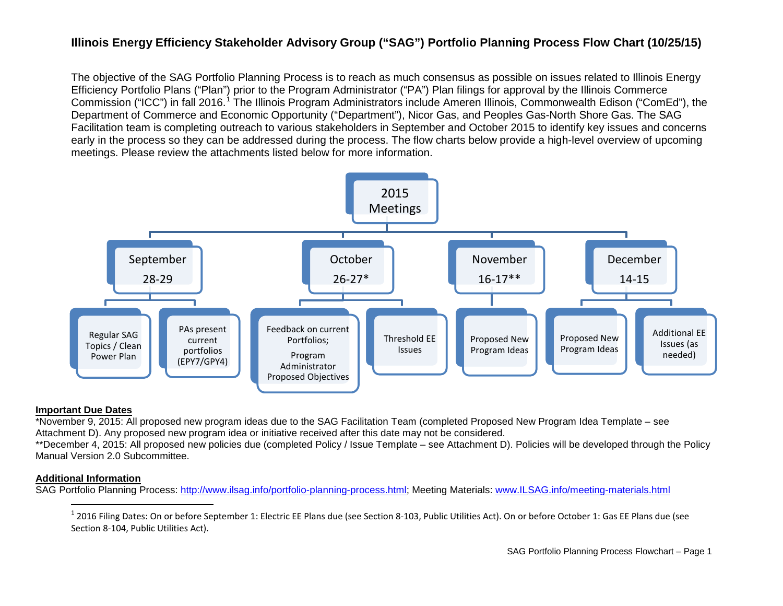# <span id="page-0-0"></span>**Illinois Energy Efficiency Stakeholder Advisory Group ("SAG") Portfolio Planning Process Flow Chart (10/25/15)**

The objective of the SAG Portfolio Planning Process is to reach as much consensus as possible on issues related to Illinois Energy Efficiency Portfolio Plans ("Plan") prior to the Program Administrator ("PA") Plan filings for approval by the Illinois Commerce Commission ("ICC") in fall 20[1](#page-0-0)6.<sup>1</sup> The Illinois Program Administrators include Ameren Illinois, Commonwealth Edison ("ComEd"), the Department of Commerce and Economic Opportunity ("Department"), Nicor Gas, and Peoples Gas-North Shore Gas. The SAG Facilitation team is completing outreach to various stakeholders in September and October 2015 to identify key issues and concerns early in the process so they can be addressed during the process. The flow charts below provide a high-level overview of upcoming meetings. Please review the attachments listed below for more information.



## **Important Due Dates**

\*November 9, 2015: All proposed new program ideas due to the SAG Facilitation Team (completed Proposed New Program Idea Template – see Attachment D). Any proposed new program idea or initiative received after this date may not be considered.

\*\*December 4, 2015: All proposed new policies due (completed Policy / Issue Template – see Attachment D). Policies will be developed through the Policy Manual Version 2.0 Subcommittee.

## **Additional Information**

SAG Portfolio Planning Process: [http://www.ilsag.info/portfolio-planning-process.html;](http://www.ilsag.info/portfolio-planning-process.html) Meeting Materials: [www.ILSAG.info/meeting-materials.html](http://www.ilsag.info/meeting-materials.html)

 $1$  2016 Filing Dates: On or before September 1: Electric EE Plans due (see Section 8-103, Public Utilities Act). On or before October 1: Gas EE Plans due (see Section 8-104, Public Utilities Act).